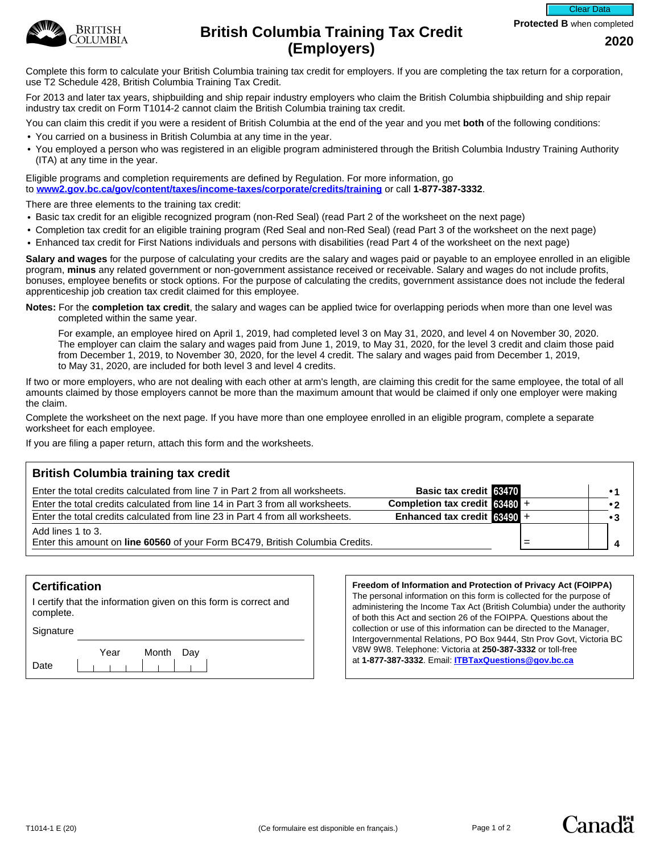

**Protected B** when completed



# **British Columbia Training Tax Credit Columbia Training Tax Credit** 2020 **(Employers)**

Complete this form to calculate your British Columbia training tax credit for employers. If you are completing the tax return for a corporation, use T2 Schedule 428, British Columbia Training Tax Credit.

For 2013 and later tax years, shipbuilding and ship repair industry employers who claim the British Columbia shipbuilding and ship repair industry tax credit on Form T1014-2 cannot claim the British Columbia training tax credit.

You can claim this credit if you were a resident of British Columbia at the end of the year and you met **both** of the following conditions:

- You carried on a business in British Columbia at any time in the year.
- You employed a person who was registered in an eligible program administered through the British Columbia Industry Training Authority (ITA) at any time in the year.

Eligible programs and completion requirements are defined by Regulation. For more information, go to **[www2.gov.bc.ca/gov/content/taxes/income-taxes/corporate/credits/training](https://www2.gov.bc.ca/gov/content/taxes/income-taxes/corporate/credits/training)** or call **1-877-387-3332**.

There are three elements to the training tax credit:

- Basic tax credit for an eligible recognized program (non-Red Seal) (read Part 2 of the worksheet on the next page)
- Completion tax credit for an eligible training program (Red Seal and non-Red Seal) (read Part 3 of the worksheet on the next page)
- Enhanced tax credit for First Nations individuals and persons with disabilities (read Part 4 of the worksheet on the next page)

**Salary and wages** for the purpose of calculating your credits are the salary and wages paid or payable to an employee enrolled in an eligible program, **minus** any related government or non-government assistance received or receivable. Salary and wages do not include profits, bonuses, employee benefits or stock options. For the purpose of calculating the credits, government assistance does not include the federal apprenticeship job creation tax credit claimed for this employee.

**Notes:** For the **completion tax credit**, the salary and wages can be applied twice for overlapping periods when more than one level was completed within the same year.

For example, an employee hired on April 1, 2019, had completed level 3 on May 31, 2020, and level 4 on November 30, 2020. The employer can claim the salary and wages paid from June 1, 2019, to May 31, 2020, for the level 3 credit and claim those paid from December 1, 2019, to November 30, 2020, for the level 4 credit. The salary and wages paid from December 1, 2019, to May 31, 2020, are included for both level 3 and level 4 credits.

If two or more employers, who are not dealing with each other at arm's length, are claiming this credit for the same employee, the total of all amounts claimed by those employers cannot be more than the maximum amount that would be claimed if only one employer were making the claim.

Complete the worksheet on the next page. If you have more than one employee enrolled in an eligible program, complete a separate worksheet for each employee.

If you are filing a paper return, attach this form and the worksheets.

# **British Columbia training tax credit**

| Enter the total credits calculated from line 7 in Part 2 from all worksheets.                      | <b>Basic tax credit 63470</b>   |  |  |
|----------------------------------------------------------------------------------------------------|---------------------------------|--|--|
| Enter the total credits calculated from line 14 in Part 3 from all worksheets.                     | Completion tax credit $63480 +$ |  |  |
| Enter the total credits calculated from line 23 in Part 4 from all worksheets.                     | Enhanced tax credit $63490 +$   |  |  |
| Add lines 1 to 3.<br>Enter this amount on line 60560 of your Form BC479, British Columbia Credits. |                                 |  |  |
|                                                                                                    |                                 |  |  |

# **Certification**

I certify that the information given on this form is correct and complete.

**Signature** 

|      | Year | Month Day |  |
|------|------|-----------|--|
| Date |      |           |  |

**Freedom of Information and Protection of Privacy Act (FOIPPA)**  The personal information on this form is collected for the purpose of administering the Income Tax Act (British Columbia) under the authority of both this Act and section 26 of the FOIPPA. Questions about the collection or use of this information can be directed to the Manager, Intergovernmental Relations, PO Box 9444, Stn Prov Govt, Victoria BC V8W 9W8. Telephone: Victoria at **250-387-3332** or toll-free at **1-877-387-3332**. Email: **[ITBTaxQuestions@gov.bc.ca](mailto:ITBTaxQuestions@gov.bc.ca)**



Canadä